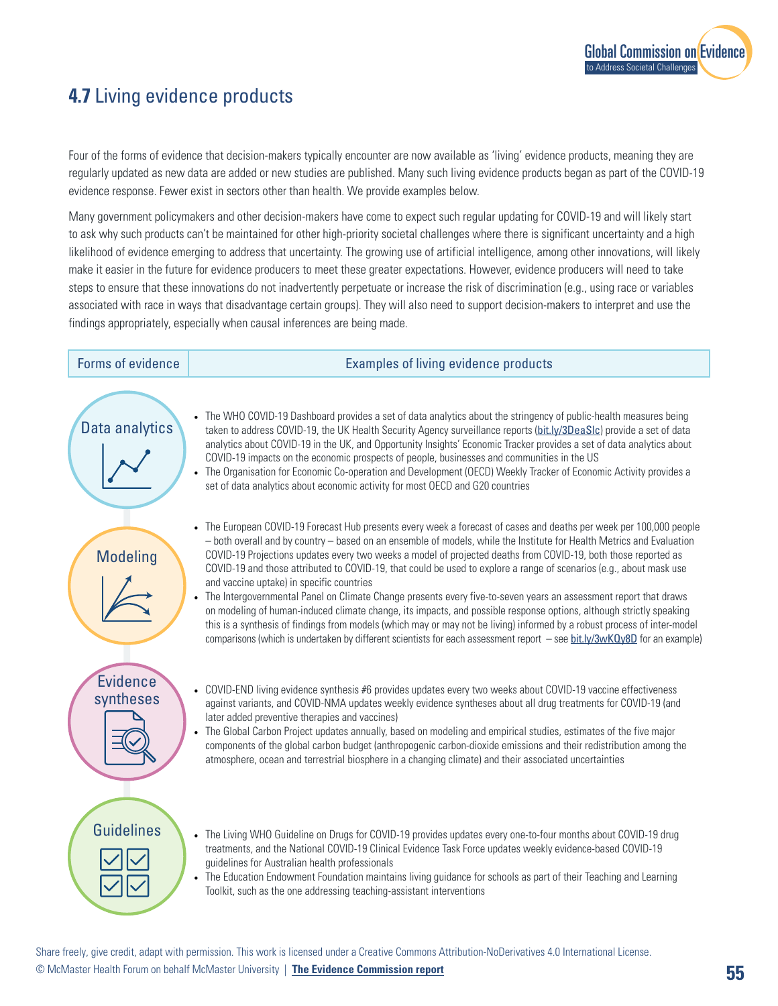

## **4.7** Living evidence products

Four of the forms of evidence that decision-makers typically encounter are now available as 'living' evidence products, meaning they are regularly updated as new data are added or new studies are published. Many such living evidence products began as part of the COVID-19 evidence response. Fewer exist in sectors other than health. We provide examples below.

Many government policymakers and other decision-makers have come to expect such regular updating for COVID-19 and will likely start to ask why such products can't be maintained for other high-priority societal challenges where there is significant uncertainty and a high likelihood of evidence emerging to address that uncertainty. The growing use of artificial intelligence, among other innovations, will likely make it easier in the future for evidence producers to meet these greater expectations. However, evidence producers will need to take steps to ensure that these innovations do not inadvertently perpetuate or increase the risk of discrimination (e.g., using race or variables associated with race in ways that disadvantage certain groups). They will also need to support decision-makers to interpret and use the findings appropriately, especially when causal inferences are being made.

Data analytics

Modeling

**Evidence** syntheses

## Forms of evidence **Examples** of living evidence products

• The WHO COVID-19 Dashboard provides a set of data analytics about the stringency of public-health measures being taken to address COVID-19, the UK Health Security Agency surveillance reports (bit.ly/3DeaSIc) provide a set of data analytics about COVID-19 in the UK, and Opportunity Insights' Economic Tracker provides a set of data analytics about COVID-19 impacts on the economic prospects of people, businesses and communities in the US

• The Organisation for Economic Co-operation and Development (OECD) Weekly Tracker of Economic Activity provides a set of data analytics about economic activity for most OECD and G20 countries

- The European COVID-19 Forecast Hub presents every week a forecast of cases and deaths per week per 100,000 people – both overall and by country – based on an ensemble of models, while the Institute for Health Metrics and Evaluation COVID-19 Projections updates every two weeks a model of projected deaths from COVID-19, both those reported as COVID-19 and those attributed to COVID-19, that could be used to explore a range of scenarios (e.g., about mask use and vaccine uptake) in specific countries
- The Intergovernmental Panel on Climate Change presents every five-to-seven years an assessment report that draws on modeling of human-induced climate change, its impacts, and possible response options, although strictly speaking this is a synthesis of findings from models (which may or may not be living) informed by a robust process of inter-model comparisons (which is undertaken by different scientists for each assessment report – see [bit.ly/3wKQy8D](http://bit.ly/3wKQy8D) for an example)
- COVID-END living evidence synthesis #6 provides updates every two weeks about COVID-19 vaccine effectiveness against variants, and COVID-NMA updates weekly evidence syntheses about all drug treatments for COVID-19 (and later added preventive therapies and vaccines)
- The Global Carbon Project updates annually, based on modeling and empirical studies, estimates of the five major components of the global carbon budget (anthropogenic carbon-dioxide emissions and their redistribution among the atmosphere, ocean and terrestrial biosphere in a changing climate) and their associated uncertainties



- The Living WHO Guideline on Drugs for COVID-19 provides updates every one-to-four months about COVID-19 drug treatments, and the National COVID-19 Clinical Evidence Task Force updates weekly evidence-based COVID-19 guidelines for Australian health professionals
- The Education Endowment Foundation maintains living guidance for schools as part of their Teaching and Learning Toolkit, such as the one addressing teaching-assistant interventions